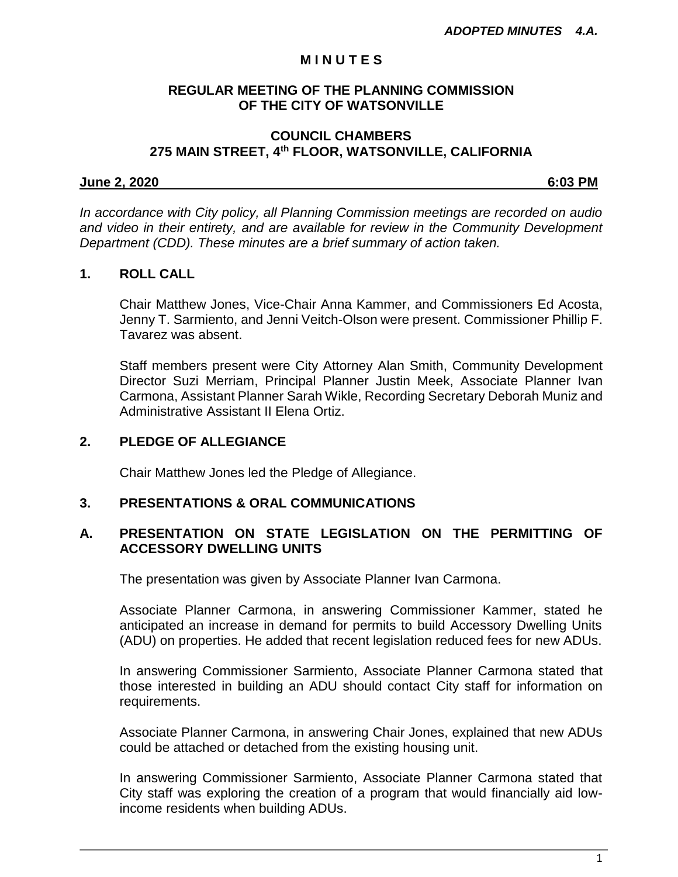## **M I N U T E S**

# **REGULAR MEETING OF THE PLANNING COMMISSION OF THE CITY OF WATSONVILLE**

## **COUNCIL CHAMBERS 275 MAIN STREET, 4th FLOOR, WATSONVILLE, CALIFORNIA**

## **June 2, 2020 6:03 PM**

*In accordance with City policy, all Planning Commission meetings are recorded on audio and video in their entirety, and are available for review in the Community Development Department (CDD). These minutes are a brief summary of action taken.*

## **1. ROLL CALL**

Chair Matthew Jones, Vice-Chair Anna Kammer, and Commissioners Ed Acosta, Jenny T. Sarmiento, and Jenni Veitch-Olson were present. Commissioner Phillip F. Tavarez was absent.

Staff members present were City Attorney Alan Smith, Community Development Director Suzi Merriam, Principal Planner Justin Meek, Associate Planner Ivan Carmona, Assistant Planner Sarah Wikle, Recording Secretary Deborah Muniz and Administrative Assistant II Elena Ortiz.

## **2. PLEDGE OF ALLEGIANCE**

Chair Matthew Jones led the Pledge of Allegiance.

# **3. PRESENTATIONS & ORAL COMMUNICATIONS**

# **A. PRESENTATION ON STATE LEGISLATION ON THE PERMITTING OF ACCESSORY DWELLING UNITS**

The presentation was given by Associate Planner Ivan Carmona.

Associate Planner Carmona, in answering Commissioner Kammer, stated he anticipated an increase in demand for permits to build Accessory Dwelling Units (ADU) on properties. He added that recent legislation reduced fees for new ADUs.

In answering Commissioner Sarmiento, Associate Planner Carmona stated that those interested in building an ADU should contact City staff for information on requirements.

Associate Planner Carmona, in answering Chair Jones, explained that new ADUs could be attached or detached from the existing housing unit.

In answering Commissioner Sarmiento, Associate Planner Carmona stated that City staff was exploring the creation of a program that would financially aid lowincome residents when building ADUs.